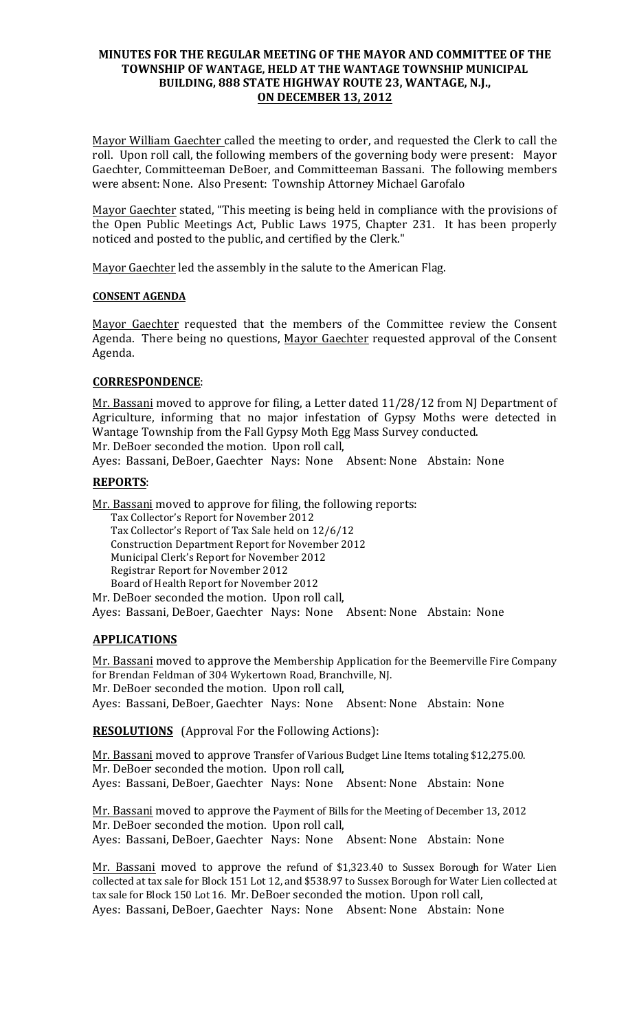## **MINUTES FOR THE REGULAR MEETING OF THE MAYOR AND COMMITTEE OF THE** TOWNSHIP OF WANTAGE, HELD AT THE WANTAGE TOWNSHIP MUNICIPAL BUILDING, 888 STATE HIGHWAY ROUTE 23, WANTAGE, N.J., **ON DECEMBER 13, 2012**

Mayor William Gaechter called the meeting to order, and requested the Clerk to call the roll. Upon roll call, the following members of the governing body were present: Mayor Gaechter, Committeeman DeBoer, and Committeeman Bassani. The following members were absent: None. Also Present: Township Attorney Michael Garofalo

Mayor Gaechter stated, "This meeting is being held in compliance with the provisions of the Open Public Meetings Act, Public Laws 1975, Chapter 231. It has been properly noticed and posted to the public, and certified by the Clerk."

Mayor Gaechter led the assembly in the salute to the American Flag.

## **CONSENT AGENDA**

Mayor Gaechter requested that the members of the Committee review the Consent Agenda. There being no questions, Mayor Gaechter requested approval of the Consent Agenda.

# **CORRESPONDENCE**:

Mr. Bassani moved to approve for filing, a Letter dated 11/28/12 from NJ Department of Agriculture, informing that no major infestation of Gypsy Moths were detected in Wantage Township from the Fall Gypsy Moth Egg Mass Survey conducted. Mr. DeBoer seconded the motion. Upon roll call,

Ayes: Bassani, DeBoer, Gaechter Nays: None Absent: None Abstain: None

## **REPORTS**:

Mr. Bassani moved to approve for filing, the following reports:

Tax Collector's Report for November 2012 Tax Collector's Report of Tax Sale held on 12/6/12 Construction Department Report for November 2012 Municipal Clerk's Report for November 2012 Registrar Report for November 2012 Board of Health Report for November 2012 Mr. DeBoer seconded the motion. Upon roll call,

Ayes: Bassani, DeBoer, Gaechter Nays: None Absent: None Abstain: None

# **APPLICATIONS**!!!

Mr. Bassani moved to approve the Membership Application for the Beemerville Fire Company for Brendan Feldman of 304 Wykertown Road, Branchville, NJ. Mr. DeBoer seconded the motion. Upon roll call,

Ayes: Bassani, DeBoer, Gaechter Nays: None Absent: None Abstain: None

**RESOLUTIONS** (Approval For the Following Actions):

Mr. Bassani moved to approve Transfer of Various Budget Line Items totaling \$12,275.00. Mr. DeBoer seconded the motion. Upon roll call, Ayes: Bassani, DeBoer, Gaechter Nays: None Absent: None Abstain: None

Mr. Bassani moved to approve the Payment of Bills for the Meeting of December 13, 2012 Mr. DeBoer seconded the motion. Upon roll call, Ayes: Bassani, DeBoer, Gaechter Nays: None Absent: None Abstain: None

Mr. Bassani moved to approve the refund of \$1,323.40 to Sussex Borough for Water Lien collected at tax sale for Block 151 Lot 12, and \$538.97 to Sussex Borough for Water Lien collected at tax sale for Block 150 Lot 16. Mr. DeBoer seconded the motion. Upon roll call, Ayes: Bassani, DeBoer, Gaechter Nays: None Absent: None Abstain: None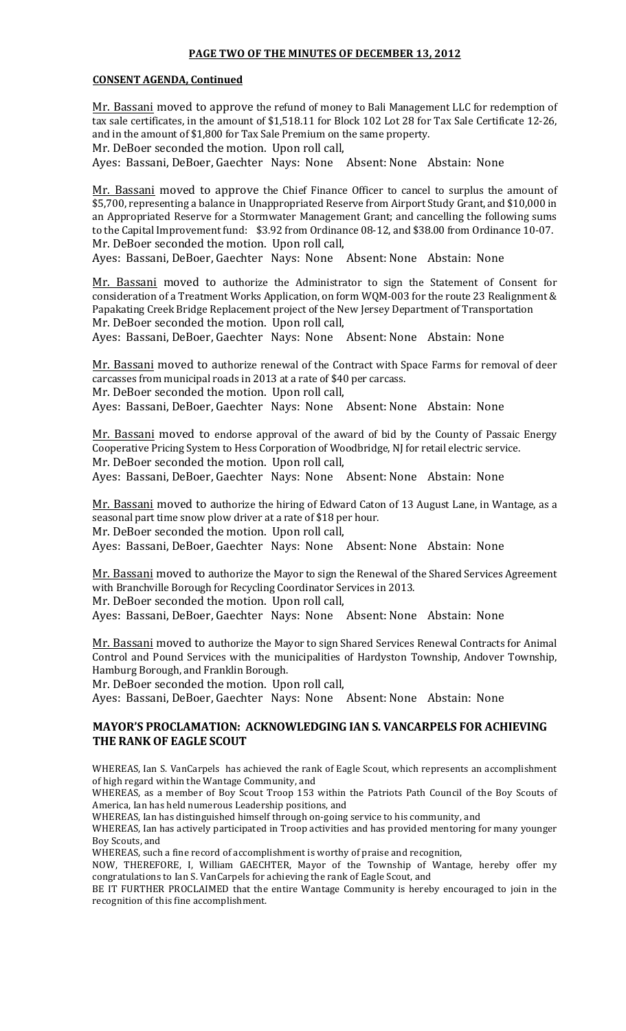### **PAGE TWO OF THE MINUTES OF DECEMBER 13, 2012**

#### **CONSENT AGENDA, Continued**

Mr. Bassani moved to approve the refund of money to Bali Management LLC for redemption of tax sale certificates, in the amount of \$1,518.11 for Block 102 Lot 28 for Tax Sale Certificate 12-26, and in the amount of \$1,800 for Tax Sale Premium on the same property.

Mr. DeBoer seconded the motion. Upon roll call,

Ayes: Bassani, DeBoer, Gaechter Nays: None Absent: None Abstain: None

Mr. Bassani moved to approve the Chief Finance Officer to cancel to surplus the amount of \$5,700, representing a balance in Unappropriated Reserve from Airport Study Grant, and \$10,000 in an Appropriated Reserve for a Stormwater Management Grant; and cancelling the following sums to the Capital Improvement fund: \$3.92 from Ordinance 08-12, and \$38.00 from Ordinance 10-07. Mr. DeBoer seconded the motion. Upon roll call,

Ayes: Bassani, DeBoer, Gaechter Nays: None Absent: None Abstain: None

Mr. Bassani moved to authorize the Administrator to sign the Statement of Consent for consideration of a Treatment Works Application, on form WQM-003 for the route 23 Realignment & Papakating Creek Bridge Replacement project of the New Jersey Department of Transportation Mr. DeBoer seconded the motion. Upon roll call,

Ayes: Bassani, DeBoer, Gaechter Nays: None Absent: None Abstain: None

Mr. Bassani moved to authorize renewal of the Contract with Space Farms for removal of deer carcasses from municipal roads in 2013 at a rate of \$40 per carcass. Mr. DeBoer seconded the motion. Upon roll call,

Ayes: Bassani, DeBoer, Gaechter Nays: None Absent: None Abstain: None

Mr. Bassani moved to endorse approval of the award of bid by the County of Passaic Energy Cooperative Pricing System to Hess Corporation of Woodbridge, NJ for retail electric service. Mr. DeBoer seconded the motion. Upon roll call, Ayes: Bassani, DeBoer, Gaechter Nays: None Absent: None Abstain: None

Mr. Bassani moved to authorize the hiring of Edward Caton of 13 August Lane, in Wantage, as a seasonal part time snow plow driver at a rate of \$18 per hour. Mr. DeBoer seconded the motion. Upon roll call, Ayes: Bassani, DeBoer, Gaechter Nays: None Absent: None Abstain: None

Mr. Bassani moved to authorize the Mayor to sign the Renewal of the Shared Services Agreement with Branchville Borough for Recycling Coordinator Services in 2013. Mr. DeBoer seconded the motion. Upon roll call,

Ayes: Bassani, DeBoer, Gaechter Nays: None Absent: None Abstain: None

Mr. Bassani moved to authorize the Mayor to sign Shared Services Renewal Contracts for Animal Control and Pound Services with the municipalities of Hardyston Township, Andover Township, Hamburg Borough, and Franklin Borough.

Mr. DeBoer seconded the motion. Upon roll call,

Ayes: Bassani, DeBoer, Gaechter Nays: None Absent: None Abstain: None

## **MAYOR'S PROCLAMATION: ACKNOWLEDGING IAN S. VANCARPELS FOR ACHIEVING THE RANK OF EAGLE SCOUT**

WHEREAS, Ian S. VanCarpels has achieved the rank of Eagle Scout, which represents an accomplishment of high regard within the Wantage Community, and

WHEREAS, as a member of Boy Scout Troop 153 within the Patriots Path Council of the Boy Scouts of America, Ian has held numerous Leadership positions, and

WHEREAS, Ian has distinguished himself through on-going service to his community, and WHEREAS, Ian has actively participated in Troop activities and has provided mentoring for many younger

Boy Scouts, and

WHEREAS, such a fine record of accomplishment is worthy of praise and recognition,

NOW, THEREFORE, I, William GAECHTER, Mayor of the Township of Wantage, hereby offer my congratulations to Ian S. VanCarpels for achieving the rank of Eagle Scout, and

BE IT FURTHER PROCLAIMED that the entire Wantage Community is hereby encouraged to join in the recognition of this fine accomplishment.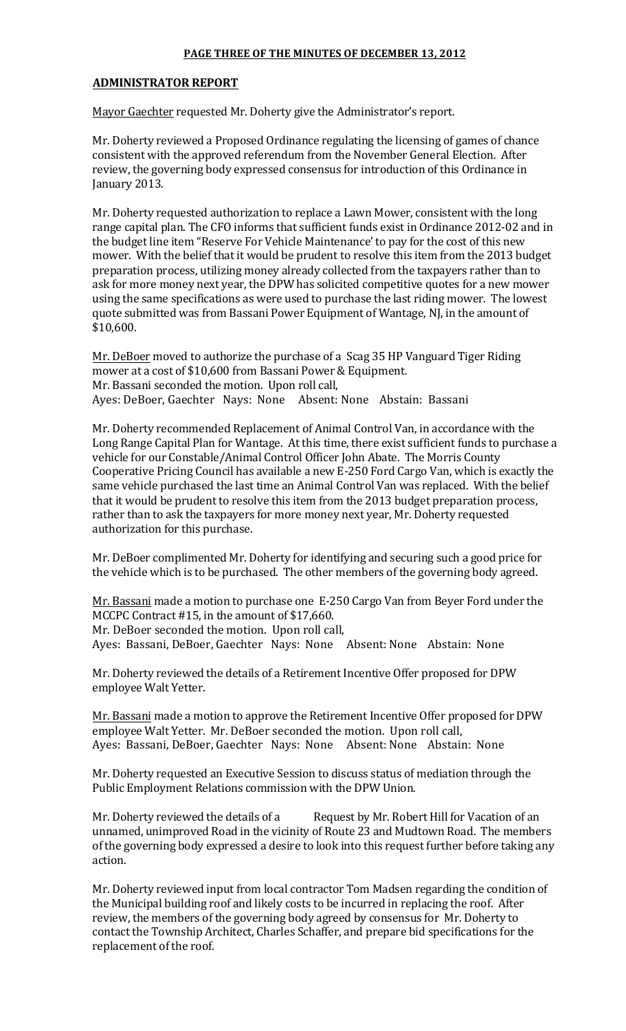## **PAGE THREE OF THE MINUTES OF DECEMBER 13, 2012**

### **ADMINISTRATOR(REPORT**

Mayor Gaechter requested Mr. Doherty give the Administrator's report.

Mr. Doherty reviewed a Proposed Ordinance regulating the licensing of games of chance consistent with the approved referendum from the November General Election. After review, the governing body expressed consensus for introduction of this Ordinance in January 2013.

Mr. Doherty requested authorization to replace a Lawn Mower, consistent with the long range capital plan. The CFO informs that sufficient funds exist in Ordinance 2012-02 and in the budget line item "Reserve For Vehicle Maintenance' to pay for the cost of this new mower. With the belief that it would be prudent to resolve this item from the 2013 budget preparation process, utilizing money already collected from the taxpayers rather than to ask for more money next year, the DPW has solicited competitive quotes for a new mower using the same specifications as were used to purchase the last riding mower. The lowest quote submitted was from Bassani Power Equipment of Wantage, NJ, in the amount of \$10.600.

Mr. DeBoer moved to authorize the purchase of a Scag 35 HP Vanguard Tiger Riding mower at a cost of \$10,600 from Bassani Power & Equipment. Mr. Bassani seconded the motion. Upon roll call, Ayes: DeBoer, Gaechter Nays: None Absent: None Abstain: Bassani

Mr. Doherty recommended Replacement of Animal Control Van, in accordance with the Long Range Capital Plan for Wantage. At this time, there exist sufficient funds to purchase a vehicle for our Constable/Animal Control Officer John Abate. The Morris County Cooperative Pricing Council has available a new E-250 Ford Cargo Van, which is exactly the same vehicle purchased the last time an Animal Control Van was replaced. With the belief that it would be prudent to resolve this item from the 2013 budget preparation process, rather than to ask the taxpayers for more money next year, Mr. Doherty requested authorization for this purchase.

Mr. DeBoer complimented Mr. Doherty for identifying and securing such a good price for the vehicle which is to be purchased. The other members of the governing body agreed.

Mr. Bassani made a motion to purchase one E-250 Cargo Van from Beyer Ford under the MCCPC Contract  $#15$ , in the amount of \$17,660. Mr. DeBoer seconded the motion. Upon roll call,

Ayes: Bassani, DeBoer, Gaechter Nays: None Absent: None Abstain: None

Mr. Doherty reviewed the details of a Retirement Incentive Offer proposed for DPW employee Walt Yetter.

Mr. Bassani made a motion to approve the Retirement Incentive Offer proposed for DPW employee Walt Yetter. Mr. DeBoer seconded the motion. Upon roll call, Ayes: Bassani, DeBoer, Gaechter Nays: None Absent: None Abstain: None

Mr. Doherty requested an Executive Session to discuss status of mediation through the Public Employment Relations commission with the DPW Union.

Mr. Doherty reviewed the details of a Request by Mr. Robert Hill for Vacation of an unnamed, unimproved Road in the vicinity of Route 23 and Mudtown Road. The members of the governing body expressed a desire to look into this request further before taking any action.

Mr. Doherty reviewed input from local contractor Tom Madsen regarding the condition of the Municipal building roof and likely costs to be incurred in replacing the roof. After review, the members of the governing body agreed by consensus for Mr. Doherty to contact the Township Architect, Charles Schaffer, and prepare bid specifications for the replacement of the roof.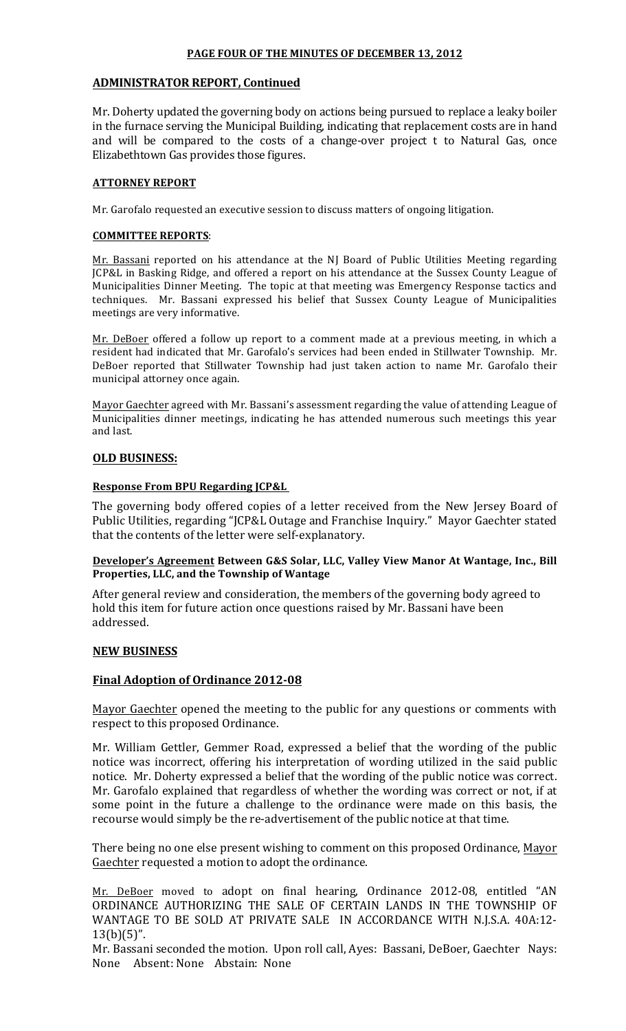### **PAGE FOUR OF THE MINUTES OF DECEMBER 13, 2012**

### **ADMINISTRATOR REPORT, Continued**

Mr. Doherty updated the governing body on actions being pursued to replace a leaky boiler in the furnace serving the Municipal Building, indicating that replacement costs are in hand and will be compared to the costs of a change-over project t to Natural Gas, once Elizabethtown Gas provides those figures.

#### **ATTORNEY REPORT**

Mr. Garofalo requested an executive session to discuss matters of ongoing litigation.

#### **COMMITTEE REPORTS:**

Mr. Bassani reported on his attendance at the NJ Board of Public Utilities Meeting regarding JCP&L in Basking Ridge, and offered a report on his attendance at the Sussex County League of Municipalities Dinner Meeting. The topic at that meeting was Emergency Response tactics and techniques.! ! Mr.! Bassani! expressed! his! belief! that! Sussex! County! League! of! Municipalities meetings are very informative.

Mr. DeBoer offered a follow up report to a comment made at a previous meeting, in which a resident had indicated that Mr. Garofalo's services had been ended in Stillwater Township. Mr. DeBoer reported that Stillwater Township had just taken action to name Mr. Garofalo their municipal attorney once again.

Mayor Gaechter agreed with Mr. Bassani's assessment regarding the value of attending League of Municipalities dinner meetings, indicating he has attended numerous such meetings this year and last.

## **OLD BUSINESS:**

### **Response From BPU Regarding JCP&L**

The governing body offered copies of a letter received from the New Jersey Board of Public Utilities, regarding "JCP&L Outage and Franchise Inquiry." Mayor Gaechter stated that the contents of the letter were self-explanatory.

### **Developer's Agreement Between G&S Solar, LLC, Valley View Manor At Wantage, Inc., Bill** Properties, LLC, and the Township of Wantage

After general review and consideration, the members of the governing body agreed to hold this item for future action once questions raised by Mr. Bassani have been addressed.

## **NEW(BUSINESS**

## **Final Adoption of Ordinance 2012-08**

Mayor Gaechter opened the meeting to the public for any questions or comments with respect to this proposed Ordinance.

Mr. William Gettler, Gemmer Road, expressed a belief that the wording of the public notice was incorrect, offering his interpretation of wording utilized in the said public notice. Mr. Doherty expressed a belief that the wording of the public notice was correct. Mr. Garofalo explained that regardless of whether the wording was correct or not, if at some point in the future a challenge to the ordinance were made on this basis, the recourse would simply be the re-advertisement of the public notice at that time.

There being no one else present wishing to comment on this proposed Ordinance, Mayor Gaechter requested a motion to adopt the ordinance.

Mr. DeBoer moved to adopt on final hearing, Ordinance 2012-08, entitled "AN ORDINANCE AUTHORIZING THE SALE OF CERTAIN LANDS IN THE TOWNSHIP OF WANTAGE TO BE SOLD AT PRIVATE SALE IN ACCORDANCE WITH N.J.S.A. 40A:12- $13(b)(5)$ ".

Mr. Bassani seconded the motion. Upon roll call, Ayes: Bassani, DeBoer, Gaechter Nays: None Absent: None Abstain: None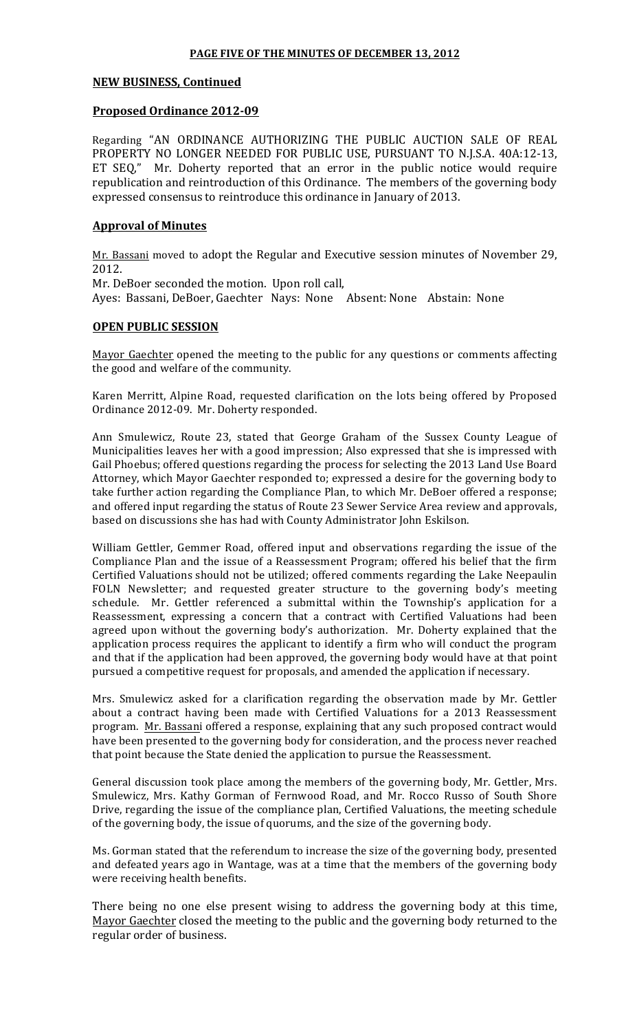### **PAGE FIVE OF THE MINUTES OF DECEMBER 13, 2012**

### **NEW BUSINESS, Continued**

### **Proposed Ordinance 2012-09**

Regarding "AN ORDINANCE AUTHORIZING THE PUBLIC AUCTION SALE OF REAL PROPERTY NO LONGER NEEDED FOR PUBLIC USE, PURSUANT TO N.J.S.A. 40A:12-13, ET SEQ," Mr. Doherty reported that an error in the public notice would require republication and reintroduction of this Ordinance. The members of the governing body expressed consensus to reintroduce this ordinance in January of 2013.

### **Approval of Minutes**

Mr. Bassani moved to adopt the Regular and Executive session minutes of November 29, 2012.

Mr. DeBoer seconded the motion. Upon roll call,

Ayes: Bassani, DeBoer, Gaechter Nays: None Absent: None Abstain: None

### **OPEN PUBLIC SESSION**

Mayor Gaechter opened the meeting to the public for any questions or comments affecting the good and welfare of the community.

Karen Merritt, Alpine Road, requested clarification on the lots being offered by Proposed Ordinance 2012-09. Mr. Doherty responded.

Ann Smulewicz, Route 23, stated that George Graham of the Sussex County League of Municipalities leaves her with a good impression; Also expressed that she is impressed with Gail Phoebus; offered questions regarding the process for selecting the 2013 Land Use Board Attorney, which Mayor Gaechter responded to; expressed a desire for the governing body to take further action regarding the Compliance Plan, to which Mr. DeBoer offered a response; and offered input regarding the status of Route 23 Sewer Service Area review and approvals, based on discussions she has had with County Administrator John Eskilson.

William Gettler, Gemmer Road, offered input and observations regarding the issue of the Compliance Plan and the issue of a Reassessment Program; offered his belief that the firm Certified Valuations should not be utilized; offered comments regarding the Lake Neepaulin FOLN Newsletter; and requested greater structure to the governing body's meeting schedule.! ! Mr.! Gettler! referenced! a! submittal! within! the! Township's! application! for! a! Reassessment, expressing a concern that a contract with Certified Valuations had been agreed upon without the governing body's authorization. Mr. Doherty explained that the application process requires the applicant to identify a firm who will conduct the program and that if the application had been approved, the governing body would have at that point pursued a competitive request for proposals, and amended the application if necessary.

Mrs. Smulewicz asked for a clarification regarding the observation made by Mr. Gettler about a contract having been made with Certified Valuations for a 2013 Reassessment program. Mr. Bassani offered a response, explaining that any such proposed contract would have been presented to the governing body for consideration, and the process never reached that point because the State denied the application to pursue the Reassessment.

General discussion took place among the members of the governing body, Mr. Gettler, Mrs. Smulewicz, Mrs. Kathy Gorman of Fernwood Road, and Mr. Rocco Russo of South Shore Drive, regarding the issue of the compliance plan, Certified Valuations, the meeting schedule of the governing body, the issue of quorums, and the size of the governing body.

Ms. Gorman stated that the referendum to increase the size of the governing body, presented and defeated years ago in Wantage, was at a time that the members of the governing body were receiving health benefits.

There being no one else present wising to address the governing body at this time, Mayor Gaechter closed the meeting to the public and the governing body returned to the regular order of business.